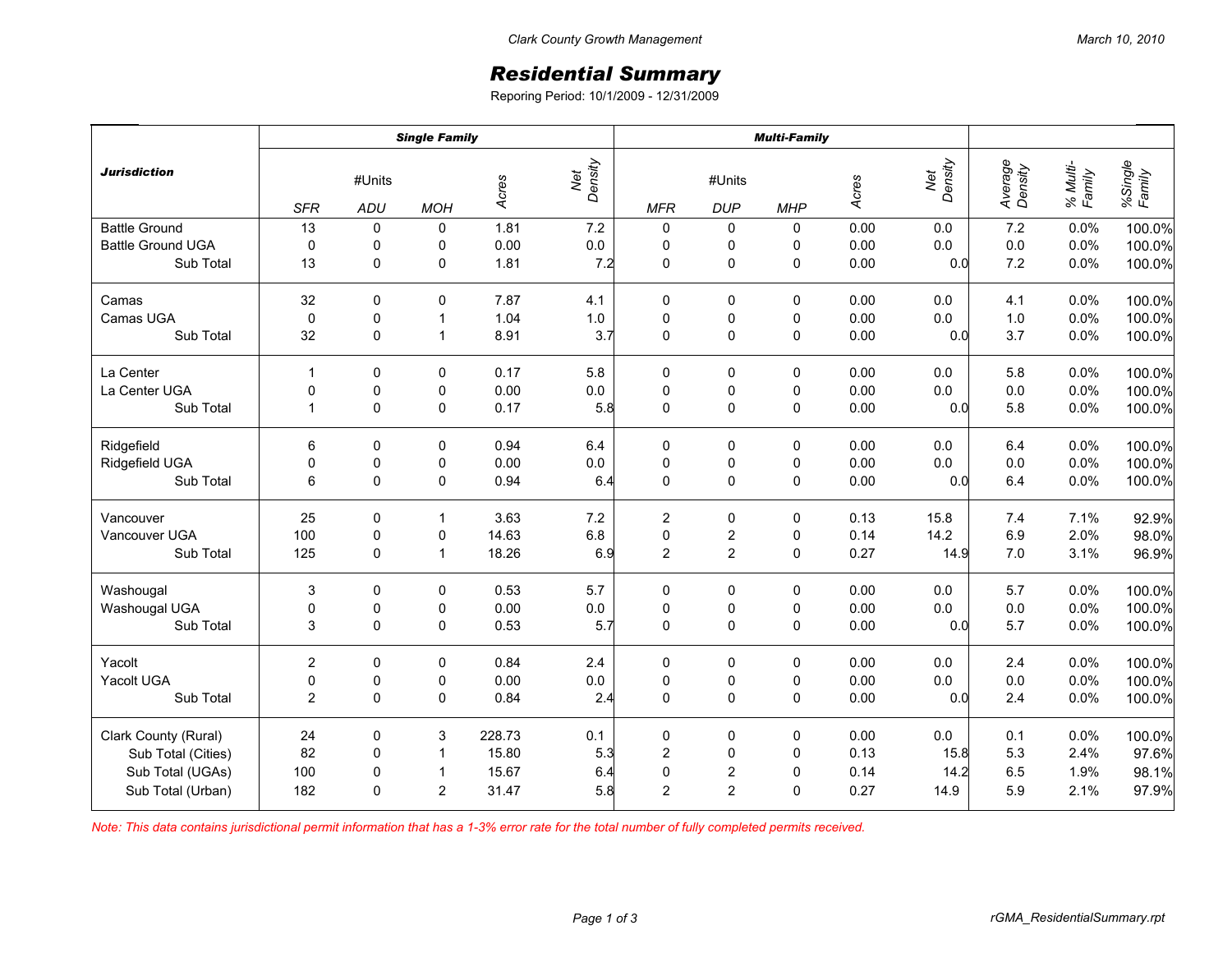## *Residential Summary*

Reporing Period: 10/1/2009 - 12/31/2009

|                          | <b>Single Family</b> |                      |                |        |                | <b>Multi-Family</b> |                      |             |       |                |                    |                    |                   |
|--------------------------|----------------------|----------------------|----------------|--------|----------------|---------------------|----------------------|-------------|-------|----------------|--------------------|--------------------|-------------------|
| <b>Jurisdiction</b>      | <b>SFR</b>           | #Units<br><b>ADU</b> | <b>MOH</b>     | Acres  | Net<br>Density | <b>MFR</b>          | #Units<br><b>DUP</b> | <b>MHP</b>  | Acres | Net<br>Density | Average<br>Density | % Multi-<br>Family | %Single<br>Family |
| <b>Battle Ground</b>     | 13                   | 0                    | 0              | 1.81   | 7.2            | 0                   | 0                    | 0           | 0.00  | 0.0            | 7.2                | 0.0%               | 100.0%            |
| <b>Battle Ground UGA</b> | $\mathbf 0$          | $\pmb{0}$            | 0              | 0.00   | $0.0\,$        | $\pmb{0}$           | 0                    | 0           | 0.00  | 0.0            | $0.0\,$            | 0.0%               | 100.0%            |
| Sub Total                | 13                   | $\mathbf 0$          | 0              | 1.81   | 7.2            | 0                   | $\pmb{0}$            | $\mathbf 0$ | 0.00  | 0.0            | 7.2                | 0.0%               | 100.0%            |
| Camas                    | 32                   | $\mathbf 0$          | 0              | 7.87   | 4.1            | 0                   | 0                    | 0           | 0.00  | 0.0            | 4.1                | 0.0%               | 100.0%            |
| Camas UGA                | $\pmb{0}$            | $\pmb{0}$            | $\mathbf 1$    | 1.04   | $1.0\,$        | $\pmb{0}$           | $\pmb{0}$            | $\pmb{0}$   | 0.00  | 0.0            | $1.0$              | 0.0%               | 100.0%            |
| Sub Total                | 32                   | $\mathbf 0$          | $\mathbf{1}$   | 8.91   | 3.7            | 0                   | $\mathsf 0$          | $\mathbf 0$ | 0.00  | 0.0            | 3.7                | 0.0%               | 100.0%            |
| La Center                | $\mathbf{1}$         | $\mathbf 0$          | 0              | 0.17   | 5.8            | 0                   | 0                    | 0           | 0.00  | 0.0            | 5.8                | 0.0%               | 100.0%            |
| La Center UGA            | 0                    | $\pmb{0}$            | 0              | 0.00   | $0.0\,$        | $\pmb{0}$           | $\pmb{0}$            | $\pmb{0}$   | 0.00  | 0.0            | $0.0\,$            | 0.0%               | 100.0%            |
| Sub Total                | $\overline{1}$       | $\mathbf 0$          | 0              | 0.17   | 5.8            | $\mathbf 0$         | $\mathsf 0$          | $\pmb{0}$   | 0.00  | 0.0            | 5.8                | 0.0%               | 100.0%            |
| Ridgefield               | 6                    | $\mathbf 0$          | 0              | 0.94   | 6.4            | 0                   | 0                    | 0           | 0.00  | 0.0            | 6.4                | 0.0%               | 100.0%            |
| Ridgefield UGA           | $\mathbf 0$          | 0                    | 0              | 0.00   | $0.0\,$        | $\pmb{0}$           | $\pmb{0}$            | $\pmb{0}$   | 0.00  | 0.0            | $0.0\,$            | 0.0%               | 100.0%            |
| Sub Total                | 6                    | $\mathbf 0$          | 0              | 0.94   | 6.4            | 0                   | $\mathsf 0$          | $\pmb{0}$   | 0.00  | 0.0            | 6.4                | 0.0%               | 100.0%            |
| Vancouver                | 25                   | 0                    | $\mathbf{1}$   | 3.63   | 7.2            | $\overline{c}$      | 0                    | $\pmb{0}$   | 0.13  | 15.8           | 7.4                | 7.1%               | 92.9%             |
| Vancouver UGA            | 100                  | $\pmb{0}$            | 0              | 14.63  | $6.8\,$        | $\mathsf 0$         | $\boldsymbol{2}$     | $\pmb{0}$   | 0.14  | 14.2           | 6.9                | 2.0%               | 98.0%             |
| Sub Total                | 125                  | $\Omega$             | $\mathbf{1}$   | 18.26  | 6.9            | $\overline{2}$      | $\overline{2}$       | $\mathbf 0$ | 0.27  | 14.9           | 7.0                | 3.1%               | 96.9%             |
| Washougal                | 3                    | $\mathbf 0$          | 0              | 0.53   | 5.7            | $\pmb{0}$           | 0                    | $\pmb{0}$   | 0.00  | 0.0            | 5.7                | 0.0%               | 100.0%            |
| Washougal UGA            | 0                    | 0                    | 0              | 0.00   | $0.0\,$        | $\pmb{0}$           | $\pmb{0}$            | 0           | 0.00  | $0.0\,$        | $0.0\,$            | 0.0%               | 100.0%            |
| Sub Total                | 3                    | $\Omega$             | 0              | 0.53   | 5.7            | $\mathbf 0$         | 0                    | $\mathbf 0$ | 0.00  | 0.0            | 5.7                | 0.0%               | 100.0%            |
| Yacolt                   | $\overline{c}$       | 0                    | 0              | 0.84   | 2.4            | $\pmb{0}$           | 0                    | $\pmb{0}$   | 0.00  | 0.0            | 2.4                | 0.0%               | 100.0%            |
| Yacolt UGA               | $\pmb{0}$            | $\pmb{0}$            | 0              | 0.00   | $0.0\,$        | $\mathbf 0$         | $\mathbf 0$          | 0           | 0.00  | $0.0\,$        | $0.0\,$            | 0.0%               | 100.0%            |
| Sub Total                | 2                    | $\mathbf{0}$         | $\mathbf 0$    | 0.84   | 2.4            | $\mathbf 0$         | 0                    | $\mathbf 0$ | 0.00  | 0.0            | 2.4                | 0.0%               | 100.0%            |
| Clark County (Rural)     | 24                   | $\mathbf 0$          | 3              | 228.73 | 0.1            | 0                   | 0                    | 0           | 0.00  | 0.0            | 0.1                | 0.0%               | 100.0%            |
| Sub Total (Cities)       | 82                   | 0                    | $\mathbf{1}$   | 15.80  | 5.3            | $\sqrt{2}$          | $\pmb{0}$            | 0           | 0.13  | 15.8           | 5.3                | 2.4%               | 97.6%             |
| Sub Total (UGAs)         | 100                  | $\mathbf 0$          | $\mathbf{1}$   | 15.67  | 6.4            | $\pmb{0}$           | $\mathbf 2$          | $\mathbf 0$ | 0.14  | 14.2           | 6.5                | 1.9%               | 98.1%             |
| Sub Total (Urban)        | 182                  | $\Omega$             | $\overline{c}$ | 31.47  | 5.8            | $\overline{2}$      | $\overline{2}$       | $\mathbf 0$ | 0.27  | 14.9           | 5.9                | 2.1%               | 97.9%             |

*Note: This data contains jurisdictional permit information that has a 1-3% error rate for the total number of fully completed permits received.*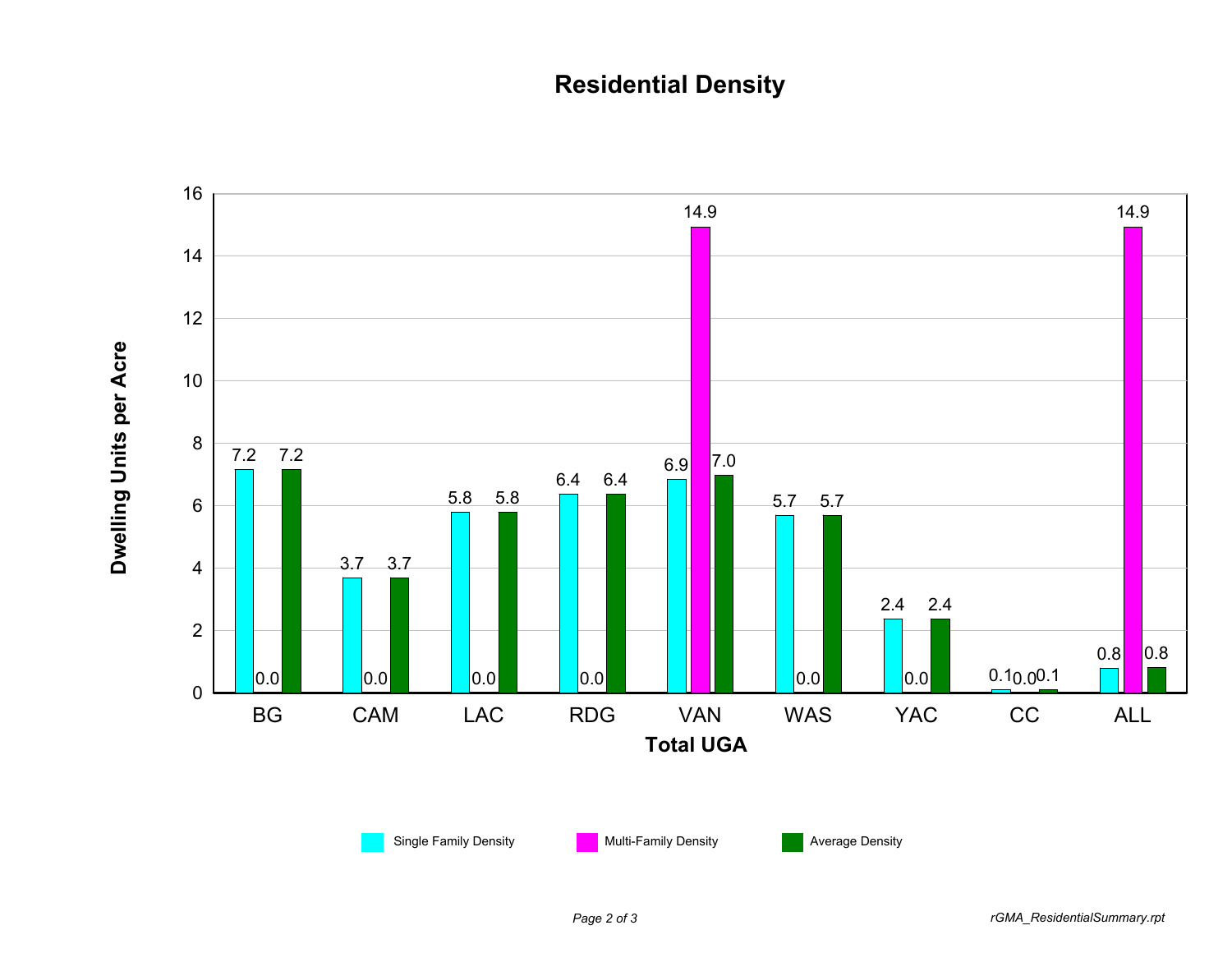## **Residential Density**